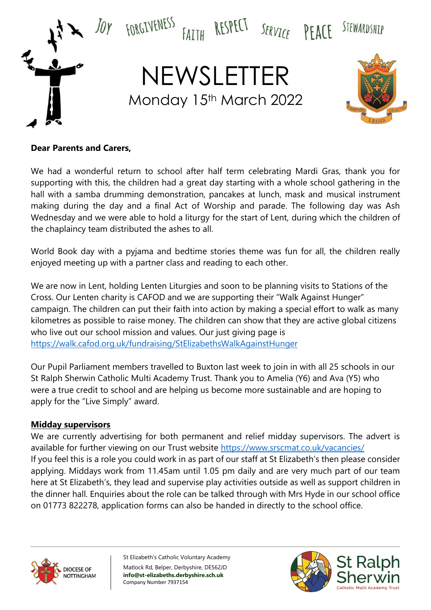

### **Dear Parents and Carers,**

We had a wonderful return to school after half term celebrating Mardi Gras, thank you for supporting with this, the children had a great day starting with a whole school gathering in the hall with a samba drumming demonstration, pancakes at lunch, mask and musical instrument making during the day and a final Act of Worship and parade. The following day was Ash Wednesday and we were able to hold a liturgy for the start of Lent, during which the children of the chaplaincy team distributed the ashes to all.

World Book day with a pyjama and bedtime stories theme was fun for all, the children really enjoyed meeting up with a partner class and reading to each other.

We are now in Lent, holding Lenten Liturgies and soon to be planning visits to Stations of the Cross. Our Lenten charity is CAFOD and we are supporting their "Walk Against Hunger" campaign. The children can put their faith into action by making a special effort to walk as many kilometres as possible to raise money. The children can show that they are active global citizens who live out our school mission and values. Our just giving page is <https://walk.cafod.org.uk/fundraising/StElizabethsWalkAgainstHunger>

Our Pupil Parliament members travelled to Buxton last week to join in with all 25 schools in our St Ralph Sherwin Catholic Multi Academy Trust. Thank you to Amelia (Y6) and Ava (Y5) who were a true credit to school and are helping us become more sustainable and are hoping to apply for the "Live Simply" award.

#### **Midday supervisors**

We are currently advertising for both permanent and relief midday supervisors. The advert is available for further viewing on our Trust website<https://www.srscmat.co.uk/vacancies/> If you feel this is a role you could work in as part of our staff at St Elizabeth's then please consider applying. Middays work from 11.45am until 1.05 pm daily and are very much part of our team here at St Elizabeth's, they lead and supervise play activities outside as well as support children in the dinner hall. Enquiries about the role can be talked through with Mrs Hyde in our school office on 01773 822278, application forms can also be handed in directly to the school office.



St Elizabeth's Catholic Voluntary Academy Matlock Rd, Belper, Derbyshire, DE562JD **info@st-elizabeths.derbyshire.sch.uk** Company Number 7937154

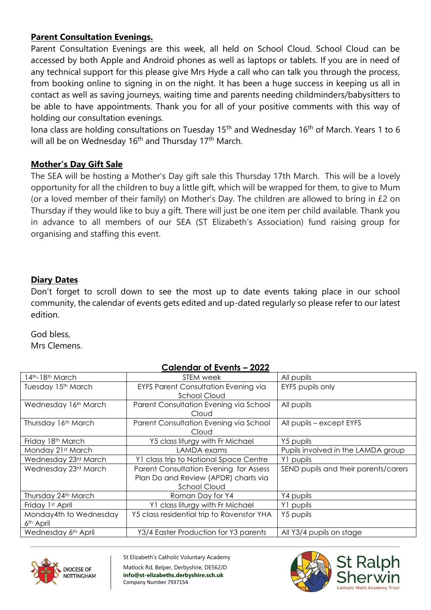# **Parent Consultation Evenings.**

Parent Consultation Evenings are this week, all held on School Cloud. School Cloud can be accessed by both Apple and Android phones as well as laptops or tablets. If you are in need of any technical support for this please give Mrs Hyde a call who can talk you through the process, from booking online to signing in on the night. It has been a huge success in keeping us all in contact as well as saving journeys, waiting time and parents needing childminders/babysitters to be able to have appointments. Thank you for all of your positive comments with this way of holding our consultation evenings.

Iona class are holding consultations on Tuesday  $15<sup>th</sup>$  and Wednesday  $16<sup>th</sup>$  of March. Years 1 to 6 will all be on Wednesday 16<sup>th</sup> and Thursday 17<sup>th</sup> March.

# **Mother's Day Gift Sale**

The SEA will be hosting a Mother's Day gift sale this Thursday 17th March. This will be a lovely opportunity for all the children to buy a little gift, which will be wrapped for them, to give to Mum (or a loved member of their family) on Mother's Day. The children are allowed to bring in £2 on Thursday if they would like to buy a gift. There will just be one item per child available. Thank you in advance to all members of our SEA (ST Elizabeth's Association) fund raising group for organising and staffing this event.

# **Diary Dates**

Don't forget to scroll down to see the most up to date events taking place in our school community, the calendar of events gets edited and up-dated regularly so please refer to our latest edition.

God bless, Mrs Clemens.

# **Calendar of Events – 2022**

| 4 <sup>th</sup> -18 <sup>th</sup> March | STEM week                                   | All pupils                           |
|-----------------------------------------|---------------------------------------------|--------------------------------------|
| Tuesday 15th March                      | <b>EYFS Parent Consultation Evening via</b> | EYFS pupils only                     |
|                                         | School Cloud                                |                                      |
| Wednesday 16th March                    | Parent Consultation Evening via School      | All pupils                           |
|                                         | Cloud                                       |                                      |
| Thursday 16th March                     | Parent Consultation Evening via School      | All pupils – except EYFS             |
|                                         | Cloud                                       |                                      |
| Friday 18th March                       | Y5 class liturgy with Fr Michael            | Y5 pupils                            |
| Monday 21st March                       | LAMDA exams                                 | Pupils involved in the LAMDA group   |
| Wednesday 23rd March                    | Y1 class trip to National Space Centre      | Y1 pupils                            |
| Wednesday 23rd March                    | Parent Consultation Evening for Assess      | SEND pupils and their parents/carers |
|                                         | Plan Do and Review (APDR) charts via        |                                      |
|                                         | <b>School Cloud</b>                         |                                      |
| Thursday 24th March                     | Roman Day for Y4                            | Y4 pupils                            |
| Friday 1st April                        | Y1 class liturgy with Fr Michael            | Y1 pupils                            |
| Monday4th to Wednesday                  | Y5 class residential trip to Ravenstor YHA  | Y5 pupils                            |
| 6 <sup>th</sup> April                   |                                             |                                      |
| Wednesday 6th April                     | Y3/4 Easter Production for Y3 parents       | All Y3/4 pupils on stage             |



St Elizabeth's Catholic Voluntary Academy Matlock Rd, Belper, Derbyshire, DE562JD **info@st-elizabeths.derbyshire.sch.uk** Company Number 7937154